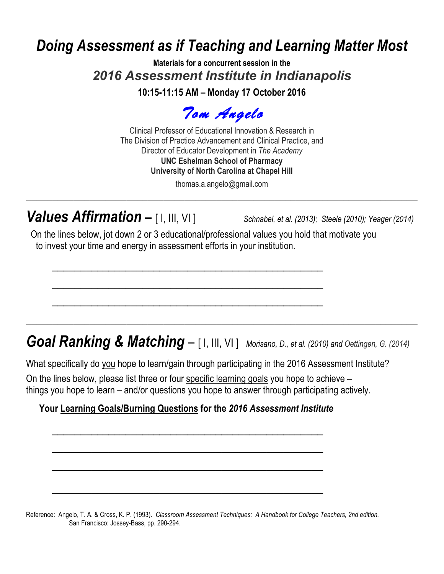# *Doing Assessment as if Teaching and Learning Matter Most*

**Materials for a concurrent session in the** *2016 Assessment Institute in Indianapolis*

**10:15-11:15 AM – Monday 17 October 2016**

*Tom Angelo* 

Clinical Professor of Educational Innovation & Research in The Division of Practice Advancement and Clinical Practice, and Director of Educator Development in *The Academy* **UNC Eshelman School of Pharmacy University of North Carolina at Chapel Hill**

thomas.a.angelo@gmail.com **\_\_\_\_\_\_\_\_\_\_\_\_\_\_\_\_\_\_\_\_\_\_\_\_\_\_\_\_\_\_\_\_\_\_\_\_\_\_\_\_\_\_\_\_\_\_\_\_\_\_\_\_\_\_\_\_\_\_\_\_\_\_\_\_\_\_\_\_\_\_\_\_\_\_**

# *Values Affirmation* **–** [ I, III, VI ] *Schnabel, et al. (2013); Steele (2010); Yeager (2014)*

On the lines below, jot down 2 or 3 educational/professional values you hold that motivate you to invest your time and energy in assessment efforts in your institution.

 $\mathcal{L}_\mathcal{L}$  , and the contribution of the contribution of  $\mathcal{L}_\mathcal{L}$ 

 $\mathcal{L}_\mathcal{L}$  , and the contribution of the contribution of  $\mathcal{L}_\mathcal{L}$ 

 $\mathcal{L}_\mathcal{L}$  , and the contribution of the contribution of  $\mathcal{L}_\mathcal{L}$ 

# *Goal Ranking & Matching –* [ I, III, VI ] *Morisano, D., et al. (2010) and Oettingen, G. (2014)*

**\_\_\_\_\_\_\_\_\_\_\_\_\_\_\_\_\_\_\_\_\_\_\_\_\_\_\_\_\_\_\_\_\_\_\_\_\_\_\_\_\_\_\_\_\_\_\_\_\_\_\_\_\_\_\_\_\_\_\_\_\_\_\_\_\_\_\_\_\_\_\_\_\_\_** 

What specifically do you hope to learn/gain through participating in the 2016 Assessment Institute?

On the lines below, please list three or four specific learning goals you hope to achieve – things you hope to learn – and/or questions you hope to answer through participating actively.

### **Your Learning Goals/Burning Questions for the** *2016 Assessment Institute*

 $\mathcal{L}_\text{max}$  , and the contract of the contract of the contract of the contract of the contract of the contract of the contract of the contract of the contract of the contract of the contract of the contract of the contr

 $\mathcal{L}_\text{max}$  , and the contract of the contract of the contract of the contract of the contract of the contract of the contract of the contract of the contract of the contract of the contract of the contract of the contr

 $\mathcal{L}_\text{max}$  , and the contract of the contract of the contract of the contract of the contract of the contract of the contract of the contract of the contract of the contract of the contract of the contract of the contr

 $\mathcal{L}_\text{max}$  , and the contract of the contract of the contract of the contract of the contract of the contract of the contract of the contract of the contract of the contract of the contract of the contract of the contr

Reference: Angelo, T. A. & Cross, K. P. (1993). *Classroom Assessment Techniques: A Handbook for College Teachers, 2nd edition.* San Francisco: Jossey-Bass, pp. 290-294.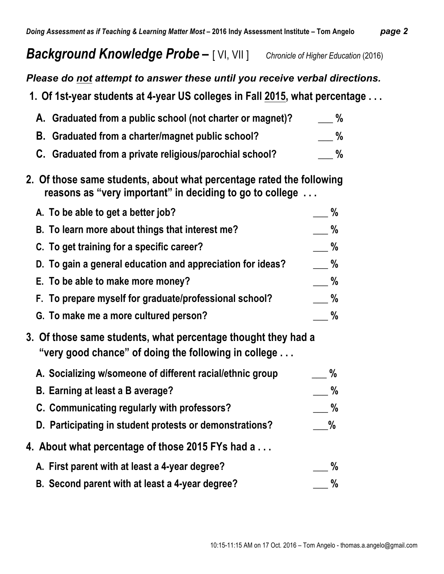### *Please do not attempt to answer these until you receive verbal directions.*

**1. Of 1st-year students at 4-year US colleges in Fall 2015, what percentage . . .**

| A. Graduated from a public school (not charter or magnet)? | %    |
|------------------------------------------------------------|------|
| B. Graduated from a charter/magnet public school?          | $\%$ |
| C. Graduated from a private religious/parochial school?    | $\%$ |

**2. Of those same students, about what percentage rated the following reasons as "very important" in deciding to go to college . . .** 

| A. To be able to get a better job?                         | %    |
|------------------------------------------------------------|------|
| B. To learn more about things that interest me?            | $\%$ |
| C. To get training for a specific career?                  | $\%$ |
| D. To gain a general education and appreciation for ideas? | $\%$ |
| E. To be able to make more money?                          | $\%$ |
| F. To prepare myself for graduate/professional school?     | $\%$ |
| G. To make me a more cultured person?                      | %    |

**3. Of those same students, what percentage thought they had a "very good chance" of doing the following in college . . .** 

| A. Socializing w/someone of different racial/ethnic group | $\%$ |
|-----------------------------------------------------------|------|
| B. Earning at least a B average?                          | $\%$ |
| C. Communicating regularly with professors?               | %    |
| D. Participating in student protests or demonstrations?   | $\%$ |
| 4. About what percentage of those 2015 FYs had a          |      |
| A. First parent with at least a 4-year degree?            | $\%$ |
| B. Second parent with at least a 4-year degree?           | %    |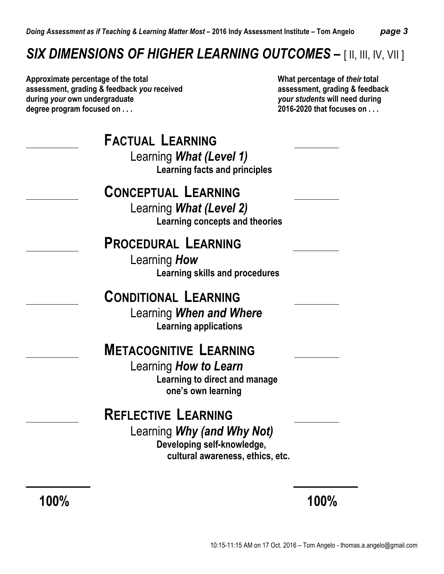# *SIX DIMENSIONS OF HIGHER LEARNING OUTCOMES* **–** [ II, III, IV, VII ]

**Approximate percentage of the total What percentage of** *their* **total assessment, grading & feedback** *you* **received assessment, grading & feedback during** *your* **own undergraduate** *your students* **will need during degree program focused on . . . 2016-2020 that focuses on . . .** 

| <b>FACTUAL LEARNING</b><br>Learning What (Level 1)<br><b>Learning facts and principles</b>                                 |  |
|----------------------------------------------------------------------------------------------------------------------------|--|
| <b>CONCEPTUAL LEARNING</b><br>Learning What (Level 2)<br>Learning concepts and theories                                    |  |
| <b>PROCEDURAL LEARNING</b><br>Learning How<br><b>Learning skills and procedures</b>                                        |  |
| <b>CONDITIONAL LEARNING</b><br>Learning When and Where<br><b>Learning applications</b>                                     |  |
| <b>METACOGNITIVE LEARNING</b><br>Learning How to Learn<br>Learning to direct and manage<br>one's own learning              |  |
| <b>REFLECTIVE LEARNING</b><br>Learning Why (and Why Not)<br>Developing self-knowledge,<br>cultural awareness, ethics, etc. |  |

 **100% 100%**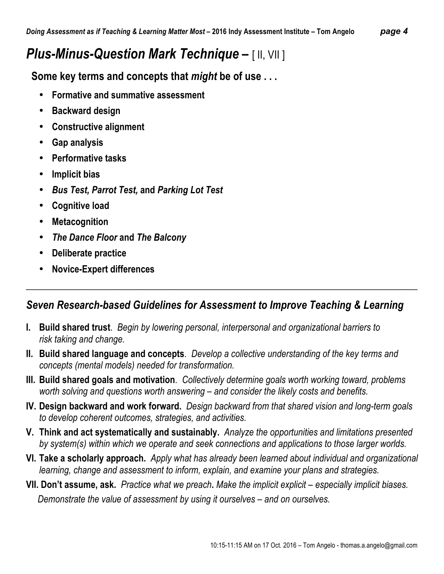# *Plus-Minus-Question Mark Technique* **–** [ II, VII ]

 **Some key terms and concepts that** *might* **be of use . . .** 

- **Formative and summative assessment**
- **Backward design**
- **Constructive alignment**
- **Gap analysis**
- **Performative tasks**
- **Implicit bias**
- *Bus Test, Parrot Test,* **and** *Parking Lot Test*
- **Cognitive load**
- **Metacognition**
- *The Dance Floor* **and** *The Balcony*
- **Deliberate practice**
- **Novice-Expert differences**

### *Seven Research-based Guidelines for Assessment to Improve Teaching & Learning*

 $\_$  , and the set of the set of the set of the set of the set of the set of the set of the set of the set of the set of the set of the set of the set of the set of the set of the set of the set of the set of the set of th

- **I. Build shared trust**. *Begin by lowering personal, interpersonal and organizational barriers to risk taking and change.*
- **II. Build shared language and concepts**. *Develop a collective understanding of the key terms and concepts (mental models) needed for transformation.*
- **III. Build shared goals and motivation**. *Collectively determine goals worth working toward, problems worth solving and questions worth answering – and consider the likely costs and benefits.*
- **IV. Design backward and work forward.** *Design backward from that shared vision and long-term goals to develop coherent outcomes, strategies, and activities.*
- **V. Think and act systematically and sustainably.** *Analyze the opportunities and limitations presented by system(s) within which we operate and seek connections and applications to those larger worlds.*
- **VI. Take a scholarly approach.** *Apply what has already been learned about individual and organizational learning, change and assessment to inform, explain, and examine your plans and strategies.*
- **VII. Don't assume, ask.** *Practice what we preach***.** *Make the implicit explicit – especially implicit biases.*  *Demonstrate the value of assessment by using it ourselves – and on ourselves.*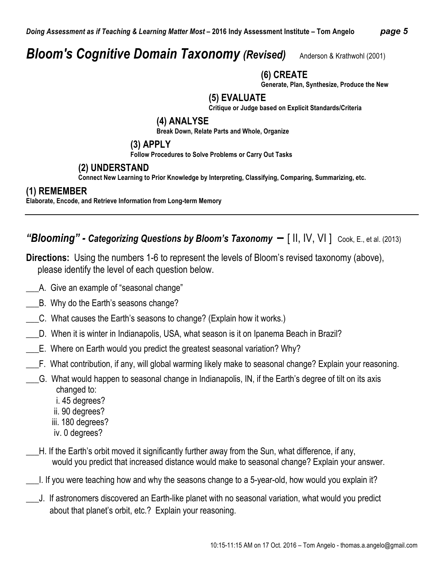# *Bloom's Cognitive Domain Taxonomy (Revised)* Anderson & Krathwohl (2001)

### **(6) CREATE**

**Generate, Plan, Synthesize, Produce the New**

### **(5) EVALUATE**

**Critique or Judge based on Explicit Standards/Criteria**

#### **(4) ANALYSE**

**Break Down, Relate Parts and Whole, Organize** 

#### **(3) APPLY**

**Follow Procedures to Solve Problems or Carry Out Tasks**

### **(2) UNDERSTAND**

**Connect New Learning to Prior Knowledge by Interpreting, Classifying, Comparing, Summarizing, etc.**

### **(1) REMEMBER**

**Elaborate, Encode, and Retrieve Information from Long-term Memory**

### *"Blooming" - Categorizing Questions by Bloom's Taxonomy* **–** [ II, IV, VI ] Cook, E., et al. (2013)

**Directions:** Using the numbers 1-6 to represent the levels of Bloom's revised taxonomy (above), please identify the level of each question below.

- \_\_\_A. Give an example of "seasonal change"
- \_\_\_B. Why do the Earth's seasons change?
- \_\_\_C. What causes the Earth's seasons to change? (Explain how it works.)
- \_\_\_D. When it is winter in Indianapolis, USA, what season is it on Ipanema Beach in Brazil?
- \_\_\_E. Where on Earth would you predict the greatest seasonal variation? Why?
- \_\_\_F. What contribution, if any, will global warming likely make to seasonal change? Explain your reasoning.
	- \_\_\_G. What would happen to seasonal change in Indianapolis, IN, if the Earth's degree of tilt on its axis changed to:
		- i. 45 degrees?
		- ii. 90 degrees?
		- iii. 180 degrees?
		- iv. 0 degrees?
	- \_\_\_H. If the Earth's orbit moved it significantly further away from the Sun, what difference, if any, would you predict that increased distance would make to seasonal change? Explain your answer.
- \_\_\_I. If you were teaching how and why the seasons change to a 5-year-old, how would you explain it?
- \_\_\_J. If astronomers discovered an Earth-like planet with no seasonal variation, what would you predict about that planet's orbit, etc.? Explain your reasoning.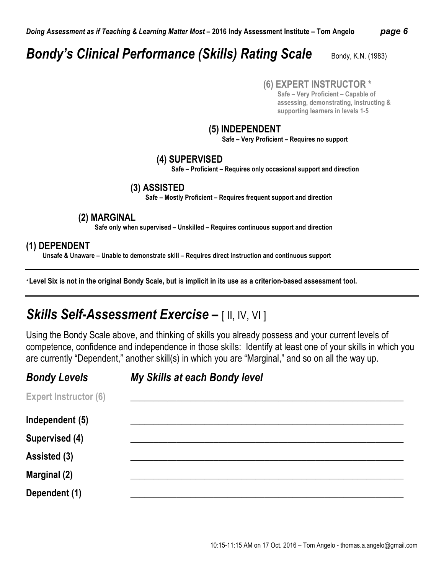# **Bondy's Clinical Performance (Skills) Rating Scale** Bondy, K.N. (1983)

#### **(6) EXPERT INSTRUCTOR \***

 **Safe – Very Proficient – Capable of assessing, demonstrating, instructing & supporting learners in levels 1-5**

#### **(5) INDEPENDENT**

 **Safe – Very Proficient – Requires no support**

#### **(4) SUPERVISED**

 **Safe – Proficient – Requires only occasional support and direction**

#### **(3) ASSISTED**

 **Safe – Mostly Proficient – Requires frequent support and direction**

#### **(2) MARGINAL**

 **Safe only when supervised – Unskilled – Requires continuous support and direction**

#### **(1) DEPENDENT**

 **Unsafe & Unaware – Unable to demonstrate skill – Requires direct instruction and continuous support**

*\** **Level Six is not in the original Bondy Scale, but is implicit in its use as a criterion-based assessment tool.**

## *Skills Self-Assessment Exercise* **–** [ II, IV, VI ]

Using the Bondy Scale above, and thinking of skills you already possess and your current levels of competence, confidence and independence in those skills: Identify at least one of your skills in which you are currently "Dependent," another skill(s) in which you are "Marginal," and so on all the way up.

| <b>Bondy Levels</b>          | My Skills at each Bondy level |
|------------------------------|-------------------------------|
| <b>Expert Instructor (6)</b> |                               |
| Independent (5)              |                               |
| Supervised (4)               |                               |
| Assisted (3)                 |                               |
| <b>Marginal (2)</b>          |                               |
| Dependent (1)                |                               |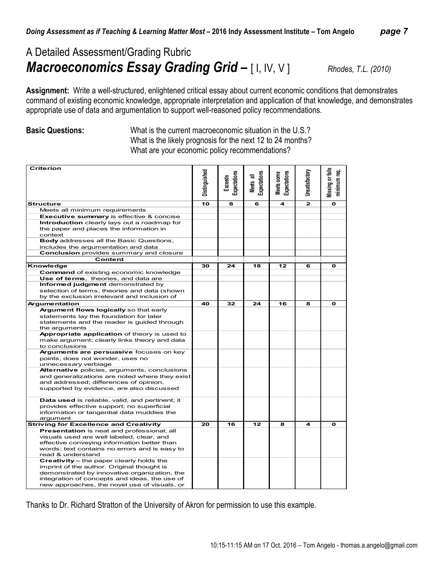### A Detailed Assessment/Grading Rubric *Macroeconomics Essay Grading Grid* **–** [ I, IV, V ] *Rhodes, T.L. (2010)*

**Assignment:** Write a well-structured, enlightened critical essay about current economic conditions that demonstrates command of existing economic knowledge, appropriate interpretation and application of that knowledge, and demonstrates appropriate use of data and argumentation to support well-reasoned policy recommendations.

**Basic Questions:** What is the current macroeconomic situation in the U.S.? What is the likely prognosis for the next 12 to 24 months? What are your economic policy recommendations?

| <b>Criterion</b><br>Vissing or fail<br>Distinguished<br>ਵੂੰ<br>Unsatisfactory<br><b>Expectations</b><br>Expectations<br>Meets some<br>Expectations<br>᠊ᢛ<br><b>Exceeds</b><br>minimum r<br><b>Meets</b><br>$\mathbf{z}$<br>10<br>8<br>4<br>$\mathbf{o}$<br><b>Structure</b><br>6<br>Meets all minimum requirements<br>Executive summary is effective & concise<br>Introduction clearly lays out a roadmap for<br>the paper and places the information in<br>context<br>Body addresses all the Basic Questions,<br>includes the argumentation and data<br>Conclusion provides summary and closure<br>Content<br>Knowledge<br>30<br>24<br>18<br>12<br>O<br>6<br><b>Command of existing economic knowledge</b><br>Use of terms, theories, and data are<br>Informed judgment demonstrated by<br>selection of terms, theories and data (shown<br>by the exclusion irrelevant and inclusion of<br>32<br>24<br>16<br>40<br>8<br>O<br><b>Argumentation</b><br>Argument flows logically so that early<br>statements lay the foundation for later<br>statements and the reader is quided through<br>the arguments<br>Appropriate application of theory is used to |                                              |  |  |  |
|---------------------------------------------------------------------------------------------------------------------------------------------------------------------------------------------------------------------------------------------------------------------------------------------------------------------------------------------------------------------------------------------------------------------------------------------------------------------------------------------------------------------------------------------------------------------------------------------------------------------------------------------------------------------------------------------------------------------------------------------------------------------------------------------------------------------------------------------------------------------------------------------------------------------------------------------------------------------------------------------------------------------------------------------------------------------------------------------------------------------------------------------------------|----------------------------------------------|--|--|--|
|                                                                                                                                                                                                                                                                                                                                                                                                                                                                                                                                                                                                                                                                                                                                                                                                                                                                                                                                                                                                                                                                                                                                                         |                                              |  |  |  |
|                                                                                                                                                                                                                                                                                                                                                                                                                                                                                                                                                                                                                                                                                                                                                                                                                                                                                                                                                                                                                                                                                                                                                         |                                              |  |  |  |
|                                                                                                                                                                                                                                                                                                                                                                                                                                                                                                                                                                                                                                                                                                                                                                                                                                                                                                                                                                                                                                                                                                                                                         |                                              |  |  |  |
|                                                                                                                                                                                                                                                                                                                                                                                                                                                                                                                                                                                                                                                                                                                                                                                                                                                                                                                                                                                                                                                                                                                                                         |                                              |  |  |  |
|                                                                                                                                                                                                                                                                                                                                                                                                                                                                                                                                                                                                                                                                                                                                                                                                                                                                                                                                                                                                                                                                                                                                                         |                                              |  |  |  |
|                                                                                                                                                                                                                                                                                                                                                                                                                                                                                                                                                                                                                                                                                                                                                                                                                                                                                                                                                                                                                                                                                                                                                         |                                              |  |  |  |
|                                                                                                                                                                                                                                                                                                                                                                                                                                                                                                                                                                                                                                                                                                                                                                                                                                                                                                                                                                                                                                                                                                                                                         |                                              |  |  |  |
|                                                                                                                                                                                                                                                                                                                                                                                                                                                                                                                                                                                                                                                                                                                                                                                                                                                                                                                                                                                                                                                                                                                                                         |                                              |  |  |  |
|                                                                                                                                                                                                                                                                                                                                                                                                                                                                                                                                                                                                                                                                                                                                                                                                                                                                                                                                                                                                                                                                                                                                                         |                                              |  |  |  |
|                                                                                                                                                                                                                                                                                                                                                                                                                                                                                                                                                                                                                                                                                                                                                                                                                                                                                                                                                                                                                                                                                                                                                         |                                              |  |  |  |
|                                                                                                                                                                                                                                                                                                                                                                                                                                                                                                                                                                                                                                                                                                                                                                                                                                                                                                                                                                                                                                                                                                                                                         |                                              |  |  |  |
|                                                                                                                                                                                                                                                                                                                                                                                                                                                                                                                                                                                                                                                                                                                                                                                                                                                                                                                                                                                                                                                                                                                                                         |                                              |  |  |  |
|                                                                                                                                                                                                                                                                                                                                                                                                                                                                                                                                                                                                                                                                                                                                                                                                                                                                                                                                                                                                                                                                                                                                                         |                                              |  |  |  |
|                                                                                                                                                                                                                                                                                                                                                                                                                                                                                                                                                                                                                                                                                                                                                                                                                                                                                                                                                                                                                                                                                                                                                         |                                              |  |  |  |
|                                                                                                                                                                                                                                                                                                                                                                                                                                                                                                                                                                                                                                                                                                                                                                                                                                                                                                                                                                                                                                                                                                                                                         |                                              |  |  |  |
|                                                                                                                                                                                                                                                                                                                                                                                                                                                                                                                                                                                                                                                                                                                                                                                                                                                                                                                                                                                                                                                                                                                                                         |                                              |  |  |  |
|                                                                                                                                                                                                                                                                                                                                                                                                                                                                                                                                                                                                                                                                                                                                                                                                                                                                                                                                                                                                                                                                                                                                                         |                                              |  |  |  |
|                                                                                                                                                                                                                                                                                                                                                                                                                                                                                                                                                                                                                                                                                                                                                                                                                                                                                                                                                                                                                                                                                                                                                         |                                              |  |  |  |
|                                                                                                                                                                                                                                                                                                                                                                                                                                                                                                                                                                                                                                                                                                                                                                                                                                                                                                                                                                                                                                                                                                                                                         |                                              |  |  |  |
|                                                                                                                                                                                                                                                                                                                                                                                                                                                                                                                                                                                                                                                                                                                                                                                                                                                                                                                                                                                                                                                                                                                                                         |                                              |  |  |  |
|                                                                                                                                                                                                                                                                                                                                                                                                                                                                                                                                                                                                                                                                                                                                                                                                                                                                                                                                                                                                                                                                                                                                                         |                                              |  |  |  |
|                                                                                                                                                                                                                                                                                                                                                                                                                                                                                                                                                                                                                                                                                                                                                                                                                                                                                                                                                                                                                                                                                                                                                         |                                              |  |  |  |
|                                                                                                                                                                                                                                                                                                                                                                                                                                                                                                                                                                                                                                                                                                                                                                                                                                                                                                                                                                                                                                                                                                                                                         |                                              |  |  |  |
|                                                                                                                                                                                                                                                                                                                                                                                                                                                                                                                                                                                                                                                                                                                                                                                                                                                                                                                                                                                                                                                                                                                                                         | make argument; clearly links theory and data |  |  |  |
| to conclusions                                                                                                                                                                                                                                                                                                                                                                                                                                                                                                                                                                                                                                                                                                                                                                                                                                                                                                                                                                                                                                                                                                                                          |                                              |  |  |  |
| Arguments are persuasive focuses on key                                                                                                                                                                                                                                                                                                                                                                                                                                                                                                                                                                                                                                                                                                                                                                                                                                                                                                                                                                                                                                                                                                                 |                                              |  |  |  |
| points, does not wonder, uses no                                                                                                                                                                                                                                                                                                                                                                                                                                                                                                                                                                                                                                                                                                                                                                                                                                                                                                                                                                                                                                                                                                                        |                                              |  |  |  |
| unnecessary verbiage                                                                                                                                                                                                                                                                                                                                                                                                                                                                                                                                                                                                                                                                                                                                                                                                                                                                                                                                                                                                                                                                                                                                    |                                              |  |  |  |
| Alternative policies, arguments, conclusions                                                                                                                                                                                                                                                                                                                                                                                                                                                                                                                                                                                                                                                                                                                                                                                                                                                                                                                                                                                                                                                                                                            |                                              |  |  |  |
| and generalizations are noted where they exist                                                                                                                                                                                                                                                                                                                                                                                                                                                                                                                                                                                                                                                                                                                                                                                                                                                                                                                                                                                                                                                                                                          |                                              |  |  |  |
| and addressed; differences of opinion,                                                                                                                                                                                                                                                                                                                                                                                                                                                                                                                                                                                                                                                                                                                                                                                                                                                                                                                                                                                                                                                                                                                  |                                              |  |  |  |
| supported by evidence, are also discussed                                                                                                                                                                                                                                                                                                                                                                                                                                                                                                                                                                                                                                                                                                                                                                                                                                                                                                                                                                                                                                                                                                               |                                              |  |  |  |
|                                                                                                                                                                                                                                                                                                                                                                                                                                                                                                                                                                                                                                                                                                                                                                                                                                                                                                                                                                                                                                                                                                                                                         |                                              |  |  |  |
| Data used is reliable, valid, and pertinent; it                                                                                                                                                                                                                                                                                                                                                                                                                                                                                                                                                                                                                                                                                                                                                                                                                                                                                                                                                                                                                                                                                                         |                                              |  |  |  |
| provides effective support; no superficial                                                                                                                                                                                                                                                                                                                                                                                                                                                                                                                                                                                                                                                                                                                                                                                                                                                                                                                                                                                                                                                                                                              |                                              |  |  |  |
| information or tangential data muddies the                                                                                                                                                                                                                                                                                                                                                                                                                                                                                                                                                                                                                                                                                                                                                                                                                                                                                                                                                                                                                                                                                                              |                                              |  |  |  |
| argument                                                                                                                                                                                                                                                                                                                                                                                                                                                                                                                                                                                                                                                                                                                                                                                                                                                                                                                                                                                                                                                                                                                                                |                                              |  |  |  |
| <b>Striving for Excellence and Creativity</b><br>20<br>16<br>12<br>8<br>4<br>O                                                                                                                                                                                                                                                                                                                                                                                                                                                                                                                                                                                                                                                                                                                                                                                                                                                                                                                                                                                                                                                                          |                                              |  |  |  |
| <b>Presentation</b> is neat and professional; all                                                                                                                                                                                                                                                                                                                                                                                                                                                                                                                                                                                                                                                                                                                                                                                                                                                                                                                                                                                                                                                                                                       |                                              |  |  |  |
| visuals used are well labeled, clear, and                                                                                                                                                                                                                                                                                                                                                                                                                                                                                                                                                                                                                                                                                                                                                                                                                                                                                                                                                                                                                                                                                                               |                                              |  |  |  |
| effective conveying information better than                                                                                                                                                                                                                                                                                                                                                                                                                                                                                                                                                                                                                                                                                                                                                                                                                                                                                                                                                                                                                                                                                                             |                                              |  |  |  |
| words; text contains no errors and is easy to                                                                                                                                                                                                                                                                                                                                                                                                                                                                                                                                                                                                                                                                                                                                                                                                                                                                                                                                                                                                                                                                                                           |                                              |  |  |  |
| read & understand                                                                                                                                                                                                                                                                                                                                                                                                                                                                                                                                                                                                                                                                                                                                                                                                                                                                                                                                                                                                                                                                                                                                       |                                              |  |  |  |
| <b>Creativity - the paper clearly holds the</b>                                                                                                                                                                                                                                                                                                                                                                                                                                                                                                                                                                                                                                                                                                                                                                                                                                                                                                                                                                                                                                                                                                         |                                              |  |  |  |
| imprint of the author. Original thought is                                                                                                                                                                                                                                                                                                                                                                                                                                                                                                                                                                                                                                                                                                                                                                                                                                                                                                                                                                                                                                                                                                              |                                              |  |  |  |
| demonstrated by innovative organization, the                                                                                                                                                                                                                                                                                                                                                                                                                                                                                                                                                                                                                                                                                                                                                                                                                                                                                                                                                                                                                                                                                                            |                                              |  |  |  |
| integration of concepts and ideas, the use of                                                                                                                                                                                                                                                                                                                                                                                                                                                                                                                                                                                                                                                                                                                                                                                                                                                                                                                                                                                                                                                                                                           |                                              |  |  |  |
| new approaches, the novel use of visuals, or                                                                                                                                                                                                                                                                                                                                                                                                                                                                                                                                                                                                                                                                                                                                                                                                                                                                                                                                                                                                                                                                                                            |                                              |  |  |  |

Thanks to Dr. Richard Stratton of the University of Akron for permission to use this example.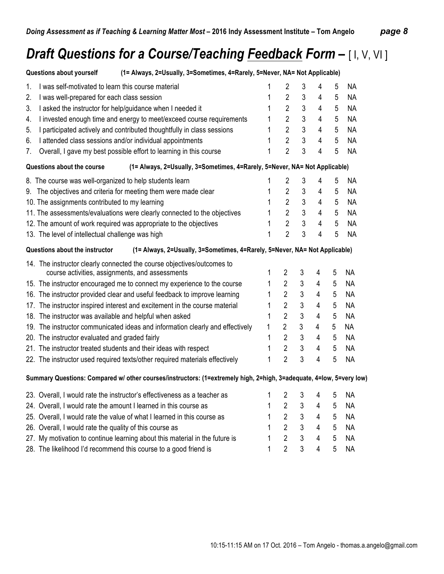# *Draft Questions for a Course/Teaching Feedback Form* **–** [ I, V, VI ]

| (1= Always, 2=Usually, 3=Sometimes, 4=Rarely, 5=Never, NA= Not Applicable)<br>Questions about yourself              |   |                |                |                |                |           |
|---------------------------------------------------------------------------------------------------------------------|---|----------------|----------------|----------------|----------------|-----------|
| 1.<br>I was self-motivated to learn this course material                                                            | 1 | $\overline{2}$ | 3              | 4              | 5              | <b>NA</b> |
| 2.<br>I was well-prepared for each class session                                                                    | 1 | $\overline{2}$ | $\mathfrak{Z}$ | 4              | 5              | <b>NA</b> |
| 3.<br>I asked the instructor for help/guidance when I needed it                                                     | 1 | $\overline{2}$ | 3              | 4              | 5              | <b>NA</b> |
| I invested enough time and energy to meet/exceed course requirements<br>4.                                          | 1 | $\overline{2}$ | 3              | 4              | 5              | <b>NA</b> |
| I participated actively and contributed thoughtfully in class sessions<br>5.                                        | 1 | $\overline{2}$ | 3              | 4              | 5              | <b>NA</b> |
| I attended class sessions and/or individual appointments<br>6.                                                      | 1 | $\overline{2}$ | 3              | 4              | $\overline{5}$ | <b>NA</b> |
| Overall, I gave my best possible effort to learning in this course<br>7.                                            | 1 | $\overline{2}$ | 3              | 4              | 5              | <b>NA</b> |
| Questions about the course<br>(1= Always, 2=Usually, 3=Sometimes, 4=Rarely, 5=Never, NA= Not Applicable)            |   |                |                |                |                |           |
| 8. The course was well-organized to help students learn                                                             | 1 | $\overline{2}$ | 3              | 4              | 5              | <b>NA</b> |
| 9. The objectives and criteria for meeting them were made clear                                                     | 1 | $\overline{2}$ | 3              | 4              | 5              | <b>NA</b> |
| 10. The assignments contributed to my learning                                                                      | 1 | $\overline{2}$ | 3              | 4              | 5              | <b>NA</b> |
| 11. The assessments/evaluations were clearly connected to the objectives                                            | 1 | $\overline{2}$ | $\mathfrak{Z}$ | $\overline{4}$ | 5              | <b>NA</b> |
| 12. The amount of work required was appropriate to the objectives                                                   | 1 | $\overline{2}$ | 3              | 4              | 5              | <b>NA</b> |
| 13. The level of intellectual challenge was high                                                                    | 1 | $\overline{2}$ | 3              | 4              | 5              | <b>NA</b> |
| (1= Always, 2=Usually, 3=Sometimes, 4=Rarely, 5=Never, NA= Not Applicable)<br>Questions about the instructor        |   |                |                |                |                |           |
| 14. The instructor clearly connected the course objectives/outcomes to                                              |   |                |                |                |                |           |
| course activities, assignments, and assessments                                                                     | 1 | $\overline{c}$ | 3              | 4              | 5              | <b>NA</b> |
| 15. The instructor encouraged me to connect my experience to the course                                             | 1 | $\overline{2}$ | 3              | 4              | 5              | <b>NA</b> |
| 16. The instructor provided clear and useful feedback to improve learning                                           | 1 | $\overline{2}$ | 3              | $\overline{4}$ | $\overline{5}$ | <b>NA</b> |
| 17. The instructor inspired interest and excitement in the course material                                          | 1 | $\overline{2}$ | 3              | 4              | $\overline{5}$ | <b>NA</b> |
| 18. The instructor was available and helpful when asked                                                             | 1 | $\overline{2}$ | 3              | 4              | 5              | <b>NA</b> |
| 19. The instructor communicated ideas and information clearly and effectively                                       | 1 | $\overline{2}$ | 3              | 4              | 5              | <b>NA</b> |
| 20. The instructor evaluated and graded fairly                                                                      | 1 | $\overline{2}$ | 3              | $\overline{4}$ | 5              | <b>NA</b> |
| 21. The instructor treated students and their ideas with respect                                                    | 1 | $\overline{2}$ | 3              | $\overline{4}$ | 5              | <b>NA</b> |
| 22. The instructor used required texts/other required materials effectively                                         | 1 | $\overline{2}$ | 3              | 4              | 5              | <b>NA</b> |
| Summary Questions: Compared w/ other courses/instructors: (1=extremely high, 2=high, 3=adequate, 4=low, 5=very low) |   |                |                |                |                |           |
| 23. Overall, I would rate the instructor's effectiveness as a teacher as                                            | 1 | 2              | 3              | 4              | 5              | <b>NA</b> |
| 24. Overall, I would rate the amount I learned in this course as                                                    | 1 | $\overline{2}$ | 3              | 4              | 5              | <b>NA</b> |
| 25. Overall, I would rate the value of what I learned in this course as                                             | 1 | $\overline{2}$ | 3              | $\overline{4}$ | 5              | <b>NA</b> |
| 26. Overall, I would rate the quality of this course as                                                             | 1 | $\overline{2}$ | 3              | 4              | 5              | <b>NA</b> |

27. My motivation to continue learning about this material in the future is 1 2 3 4 5 NA 28. The likelihood I'd recommend this course to a good friend is 1 2 3 4 5 NA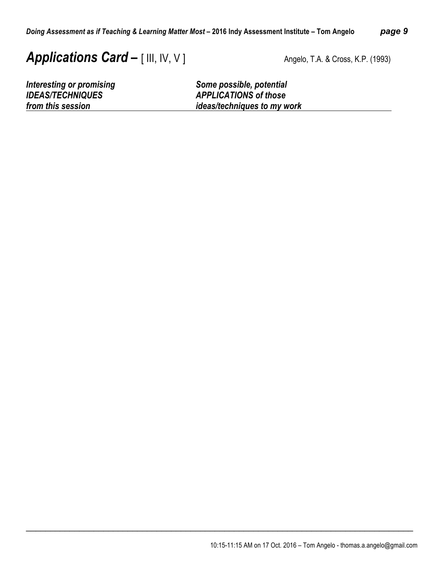# **Applications Card –** [ III, IV, V ] Angelo, T.A. & Cross, K.P. (1993)

*Interesting or promising*<br> *IDEAS/TECHNIQUES*<br> *APPLICATIONS of those IDEAS/TECHNIQUES APPLICATIONS of those ideas/techniques to my work* 

\_\_\_\_\_\_\_\_\_\_\_\_\_\_\_\_\_\_\_\_\_\_\_\_\_\_\_\_\_\_\_\_\_\_\_\_\_\_\_\_\_\_\_\_\_\_\_\_\_\_\_\_\_\_\_\_\_\_\_\_\_\_\_\_\_\_\_\_\_\_\_\_\_\_\_\_\_\_\_\_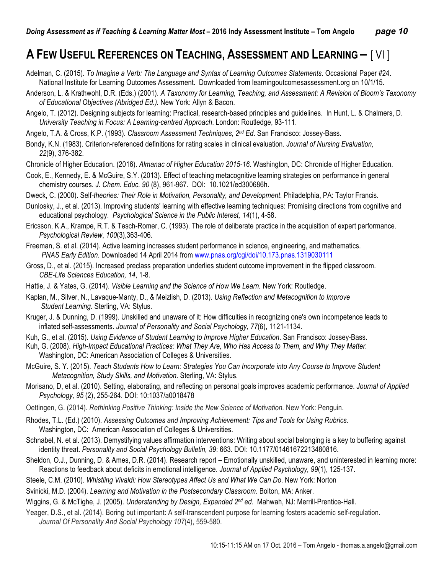### **A FEW USEFUL REFERENCES ON TEACHING, ASSESSMENT AND LEARNING –** [ VI ]

Adelman, C. (2015). *To Imagine a Verb: The Language and Syntax of Learning Outcomes Statements*. Occasional Paper #24. National Institute for Learning Outcomes Assessment. Downloaded from learningoutcomesassessment.org on 10/1/15.

- Anderson, L. & Krathwohl, D.R. (Eds.) (2001). *A Taxonomy for Learning, Teaching, and Assessment: A Revision of Bloom's Taxonomy of Educational Objectives (Abridged Ed.).* New York: Allyn & Bacon.
- Angelo, T. (2012). Designing subjects for learning: Practical, research-based principles and guidelines. In Hunt, L. & Chalmers, D. *University Teaching in Focus: A Learning-centred Approach*. London: Routledge, 93-111.
- Angelo, T.A. & Cross, K.P. (1993). *Classroom Assessment Techniques, 2nd Ed*. San Francisco: Jossey-Bass.
- Bondy, K.N. (1983). Criterion-referenced definitions for rating scales in clinical evaluation. *Journal of Nursing Evaluation, 22*(9), 376-382.

Chronicle of Higher Education. (2016). *Almanac of Higher Education 2015-16*. Washington, DC: Chronicle of Higher Education.

- Cook, E., Kennedy, E. & McGuire, S.Y. (2013). Effect of teaching metacognitive learning strategies on performance in general chemistry courses. *J. Chem. Educ. 90* (8), 961-967. DOI: 10.1021/ed300686h.
- Dweck, C. (2000). Self*-theories: Their Role in Motivation, Personality, and Development*. Philadelphia, PA: Taylor Francis.
- Dunlosky, J., et al. (2013). Improving students' learning with effective learning techniques: Promising directions from cognitive and educational psychology. *Psychological Science in the Public Interest, 14*(1), 4-58.
- Ericsson, K.A., Krampe, R.T. & Tesch-Romer, C. (1993). The role of deliberate practice in the acquisition of expert performance. *Psychological Review*, *100*(3),363-406.
- Freeman, S. et al. (2014). Active learning increases student performance in science, engineering, and mathematics. *PNAS Early Edition*. Downloaded 14 April 2014 from www.pnas.org/cgi/doi/10.173.pnas.1319030111
- Gross, D., et al. (2015). Increased preclass preparation underlies student outcome improvement in the flipped classroom. *CBE-Life Sciences Education, 14*, 1-8.
- Hattie, J. & Yates, G. (2014). *Visible Learning and the Science of How We Learn.* New York: Routledge.
- Kaplan, M., Silver, N., Lavaque-Manty, D., & Meizlish, D. (2013). *Using Reflection and Metacognition to Improve Student Learning*. Sterling, VA: Stylus.
- Kruger, J. & Dunning, D. (1999). Unskilled and unaware of it: How difficulties in recognizing one's own incompetence leads to inflated self-assessments. *Journal of Personality and Social Psychology*, *77*(6), 1121-1134.
- Kuh, G., et al. (2015). *Using Evidence of Student Learning to Improve Higher Education*. San Francisco: Jossey-Bass.
- Kuh, G. (2008). *High-Impact Educational Practices: What They Are, Who Has Access to Them, and Why They Matter.*  Washington, DC: American Association of Colleges & Universities.
- McGuire, S. Y. (2015). *Teach Students How to Learn: Strategies You Can Incorporate into Any Course to Improve Student Metacognition, Study Skills, and Motivation.* Sterling, VA: Stylus.
- Morisano, D, et al. (2010). Setting, elaborating, and reflecting on personal goals improves academic performance. *Journal of Applied Psychology, 95* (2), 255-264. DOI: 10:1037/a0018478
- Oettingen, G. (2014). *Rethinking Positive Thinking: Inside the New Science of Motivation.* New York: Penguin.
- Rhodes, T.L. (Ed.) (2010). *Assessing Outcomes and Improving Achievement: Tips and Tools for Using Rubrics.* Washington, DC: American Association of Colleges & Universities.
- Schnabel, N. et al. (2013). Demystifying values affirmation interventions: Writing about social belonging is a key to buffering against identity threat. *Personality and Social Psychology Bulletin, 39*: 663. DOI: 10.1177/01461672213480816.
- Sheldon, O.J., Dunning, D. & Ames, D.R. (2014). Research report Emotionally unskilled, unaware, and uninterested in learning more: Reactions to feedback about deficits in emotional intelligence. *Journal of Applied Psychology, 99*(1), 125-137.
- Steele, C.M. (2010). *Whistling Vivaldi: How Stereotypes Affect Us and What We Can Do*. New York: Norton
- Svinicki, M.D. (2004). *Learning and Motivation in the Postsecondary Classroom*. Bolton, MA: Anker.
- Wiggins, G. & McTighe, J. (2005). *Understanding by Design, Expanded 2nd ed*. Mahwah, NJ: Merrill-Prentice-Hall.
- Yeager, D.S., et al. (2014). Boring but important: A self-transcendent purpose for learning fosters academic self-regulation. *Journal Of Personality And Social Psychology 107*(4), 559-580.